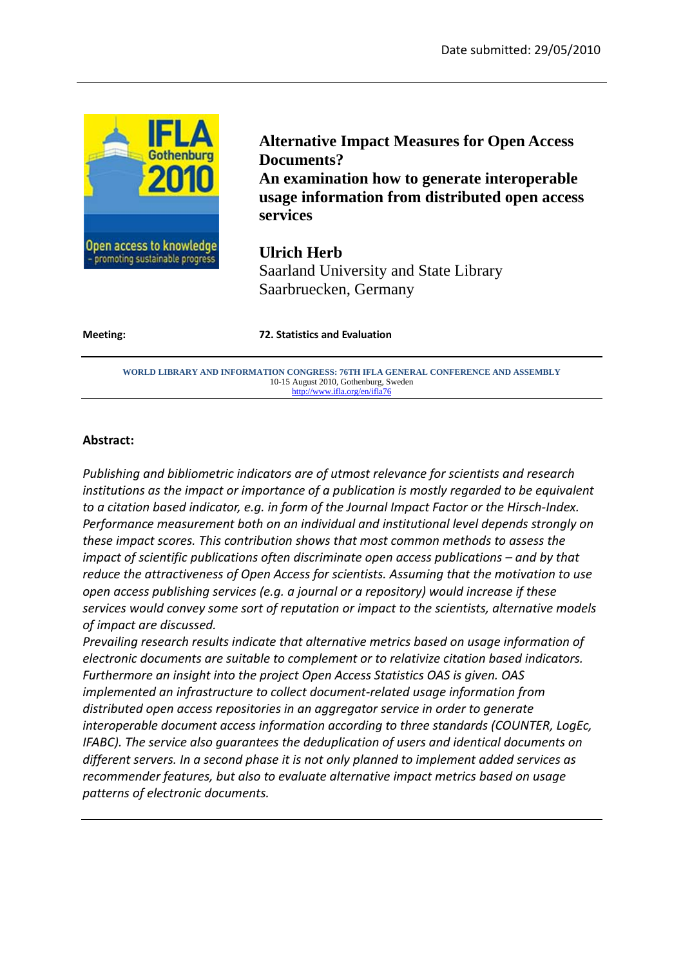

**Alternative Impact Measures for Open Access Documents? An examination how to generate interoperable usage information from distributed open access services** 

**Ulrich Herb** Saarland University and State Library Saarbruecken, Germany

**Meeting: 72. Statistics and Evaluation**

**WORLD LIBRARY AND INFORMATION CONGRESS: 76TH IFLA GENERAL CONFERENCE AND ASSEMBLY**  10-15 August 2010, Gothenburg, Sweden http://www.ifla.org/en/ifla76

#### **Abstract:**

*Publishing and bibliometric indicators are of utmost relevance for scientists and research institutions as the impact or importance of a publication is mostly regarded to be equivalent to a citation based indicator, e.g. in form of the Journal Impact Factor or the Hirsch-Index. Performance measurement both on an individual and institutional level depends strongly on these impact scores. This contribution shows that most common methods to assess the impact of scientific publications often discriminate open access publications – and by that reduce the attractiveness of Open Access for scientists. Assuming that the motivation to use open access publishing services (e.g. a journal or a repository) would increase if these services would convey some sort of reputation or impact to the scientists, alternative models of impact are discussed.* 

*Prevailing research results indicate that alternative metrics based on usage information of electronic documents are suitable to complement or to relativize citation based indicators. Furthermore an insight into the project Open Access Statistics OAS is given. OAS implemented an infrastructure to collect document-related usage information from distributed open access repositories in an aggregator service in order to generate interoperable document access information according to three standards (COUNTER, LogEc, IFABC). The service also guarantees the deduplication of users and identical documents on different servers. In a second phase it is not only planned to implement added services as recommender features, but also to evaluate alternative impact metrics based on usage patterns of electronic documents.*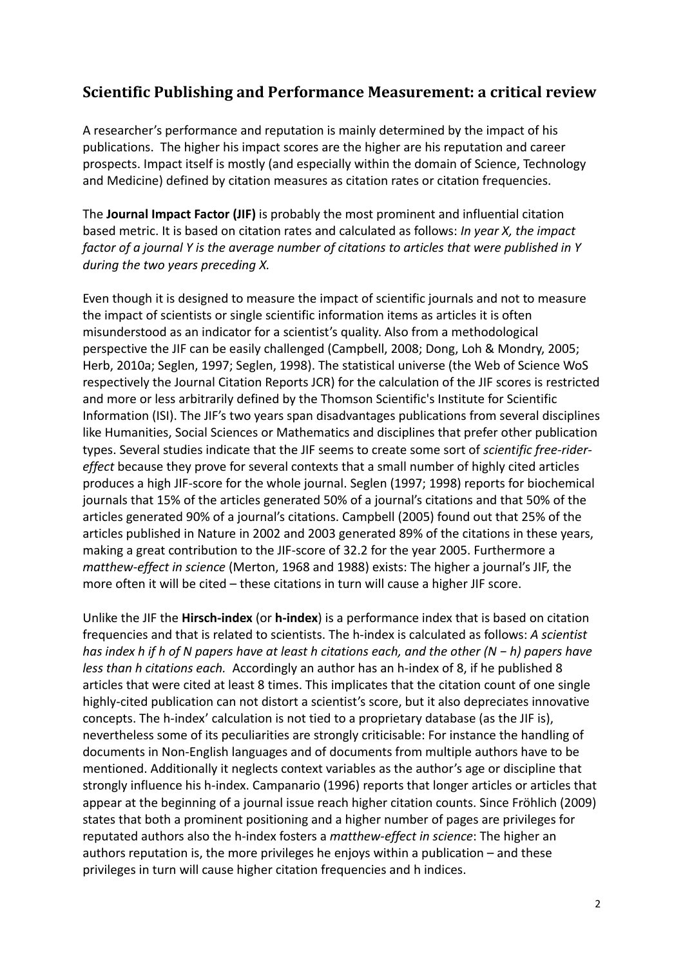# **Scientific Publishing and Performance Measurement: a critical review**

A researcher's performance and reputation is mainly determined by the impact of his publications. The higher his impact scores are the higher are his reputation and career prospects. Impact itself is mostly (and especially within the domain of Science, Technology and Medicine) defined by citation measures as citation rates or citation frequencies.

The **Journal Impact Factor (JIF)** is probably the most prominent and influential citation based metric. It is based on citation rates and calculated as follows: *In year X, the impact factor of a journal Y is the average number of citations to articles that were published in Y during the two years preceding X.*

Even though it is designed to measure the impact of scientific journals and not to measure the impact of scientists or single scientific information items as articles it is often misunderstood as an indicator for a scientist's quality. Also from a methodological perspective the JIF can be easily challenged (Campbell, 2008; Dong, Loh & Mondry, 2005; Herb, 2010a; Seglen, 1997; Seglen, 1998). The statistical universe (the Web of Science WoS respectively the Journal Citation Reports JCR) for the calculation of the JIF scores is restricted and more or less arbitrarily defined by the Thomson Scientific's Institute for Scientific Information (ISI). The JIF's two years span disadvantages publications from several disciplines like Humanities, Social Sciences or Mathematics and disciplines that prefer other publication types. Several studies indicate that the JIF seems to create some sort of *scientific free-ridereffect* because they prove for several contexts that a small number of highly cited articles produces a high JIF-score for the whole journal. Seglen (1997; 1998) reports for biochemical journals that 15% of the articles generated 50% of a journal's citations and that 50% of the articles generated 90% of a journal's citations. Campbell (2005) found out that 25% of the articles published in Nature in 2002 and 2003 generated 89% of the citations in these years, making a great contribution to the JIF-score of 32.2 for the year 2005. Furthermore a *matthew-effect in science* (Merton, 1968 and 1988) exists: The higher a journal's JIF, the more often it will be cited – these citations in turn will cause a higher JIF score.

Unlike the JIF the **Hirsch-index** (or **h-index**) is a performance index that is based on citation frequencies and that is related to scientists. The h-index is calculated as follows: *A scientist has index h if h of N papers have at least h citations each, and the other (N − h) papers have less than h citations each.* Accordingly an author has an h-index of 8, if he published 8 articles that were cited at least 8 times. This implicates that the citation count of one single highly-cited publication can not distort a scientist's score, but it also depreciates innovative concepts. The h-index' calculation is not tied to a proprietary database (as the JIF is), nevertheless some of its peculiarities are strongly criticisable: For instance the handling of documents in Non-English languages and of documents from multiple authors have to be mentioned. Additionally it neglects context variables as the author's age or discipline that strongly influence his h-index. Campanario (1996) reports that longer articles or articles that appear at the beginning of a journal issue reach higher citation counts. Since Fröhlich (2009) states that both a prominent positioning and a higher number of pages are privileges for reputated authors also the h-index fosters a *matthew-effect in science*: The higher an authors reputation is, the more privileges he enjoys within a publication – and these privileges in turn will cause higher citation frequencies and h indices.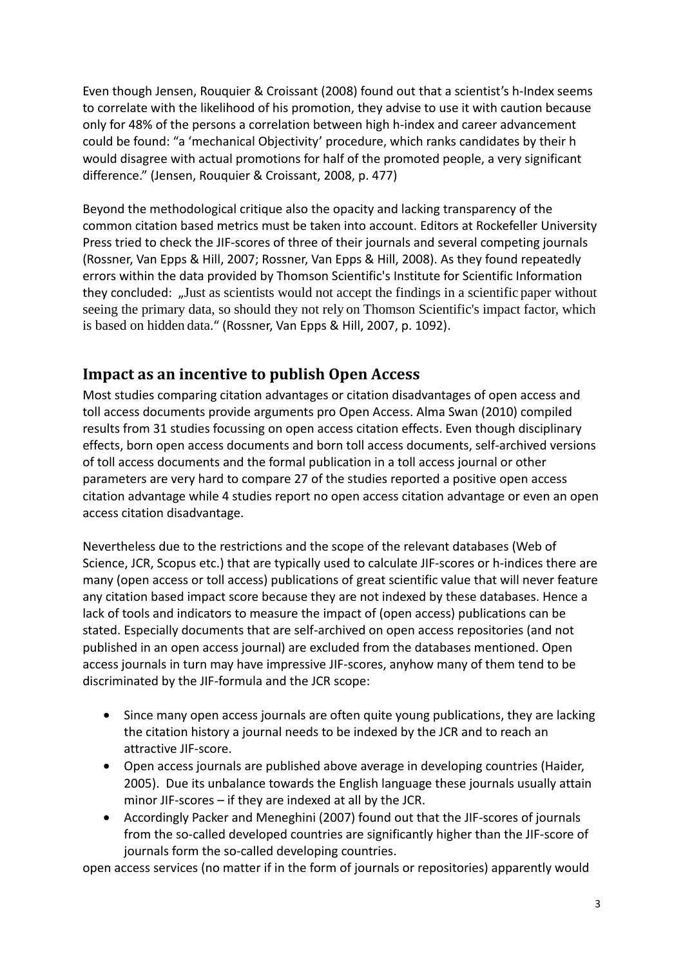Even though Jensen, Rouquier & Croissant (2008) found out that a scientist's h-Index seems to correlate with the likelihood of his promotion, they advise to use it with caution because only for 48% of the persons a correlation between high h-index and career advancement could be found: "a 'mechanical Objectivity' procedure, which ranks candidates by their h would disagree with actual promotions for half of the promoted people, a very significant difference." (Jensen, Rouquier & Croissant, 2008, p. 477)

Beyond the methodological critique also the opacity and lacking transparency of the common citation based metrics must be taken into account. Editors at Rockefeller University Press tried to check the JIF-scores of three of their journals and several competing journals (Rossner, Van Epps & Hill, 2007; Rossner, Van Epps & Hill, 2008). As they found repeatedly errors within the data provided by Thomson Scientific's Institute for Scientific Information they concluded: "Just as scientists would not accept the findings in a scientific paper without seeing the primary data, so should they not rely on Thomson Scientific's impact factor, which is based on hidden data." (Rossner, Van Epps & Hill, 2007, p. 1092).

# **Impact as an incentive to publish Open Access**

Most studies comparing citation advantages or citation disadvantages of open access and toll access documents provide arguments pro Open Access. Alma Swan (2010) compiled results from 31 studies focussing on open access citation effects. Even though disciplinary effects, born open access documents and born toll access documents, self-archived versions of toll access documents and the formal publication in a toll access journal or other parameters are very hard to compare 27 of the studies reported a positive open access citation advantage while 4 studies report no open access citation advantage or even an open access citation disadvantage.

Nevertheless due to the restrictions and the scope of the relevant databases (Web of Science, JCR, Scopus etc.) that are typically used to calculate JIF-scores or h-indices there are many (open access or toll access) publications of great scientific value that will never feature any citation based impact score because they are not indexed by these databases. Hence a lack of tools and indicators to measure the impact of (open access) publications can be stated. Especially documents that are self-archived on open access repositories (and not published in an open access journal) are excluded from the databases mentioned. Open access journals in turn may have impressive JIF-scores, anyhow many of them tend to be discriminated by the JIF-formula and the JCR scope:

- Since many open access journals are often quite young publications, they are lacking the citation history a journal needs to be indexed by the JCR and to reach an attractive JIF-score.
- Open access journals are published above average in developing countries (Haider, 2005). Due its unbalance towards the English language these journals usually attain minor JIF-scores – if they are indexed at all by the JCR.
- Accordingly Packer and Meneghini (2007) found out that the JIF-scores of journals from the so-called developed countries are significantly higher than the JIF-score of journals form the so-called developing countries.

open access services (no matter if in the form of journals or repositories) apparently would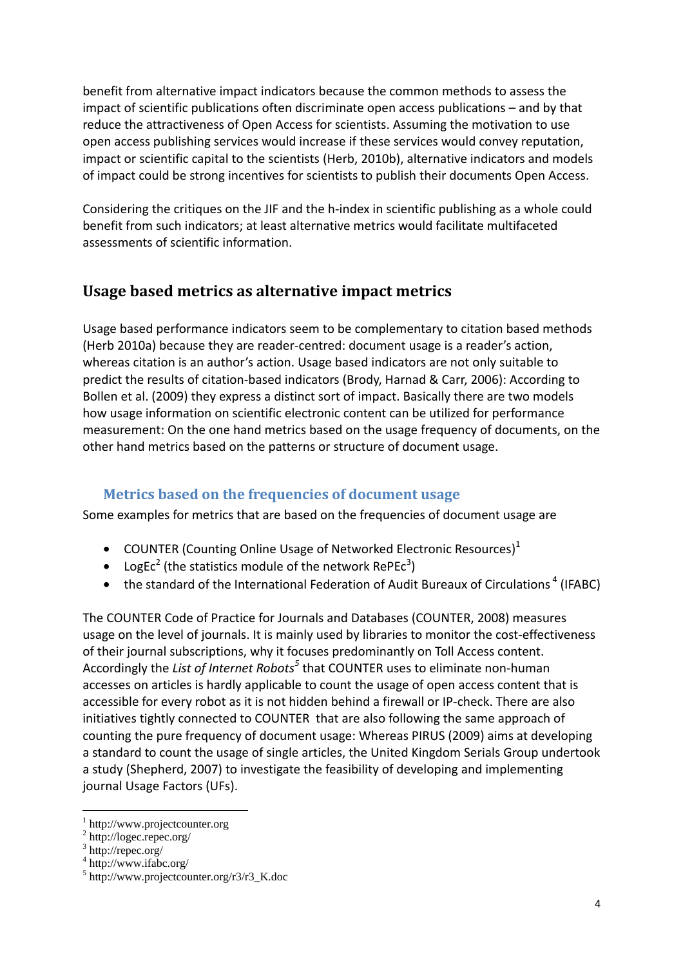benefit from alternative impact indicators because the common methods to assess the impact of scientific publications often discriminate open access publications – and by that reduce the attractiveness of Open Access for scientists. Assuming the motivation to use open access publishing services would increase if these services would convey reputation, impact or scientific capital to the scientists (Herb, 2010b), alternative indicators and models of impact could be strong incentives for scientists to publish their documents Open Access.

Considering the critiques on the JIF and the h-index in scientific publishing as a whole could benefit from such indicators; at least alternative metrics would facilitate multifaceted assessments of scientific information.

# **Usage based metrics as alternative impact metrics**

Usage based performance indicators seem to be complementary to citation based methods (Herb 2010a) because they are reader-centred: document usage is a reader's action, whereas citation is an author's action. Usage based indicators are not only suitable to predict the results of citation-based indicators (Brody, Harnad & Carr, 2006): According to Bollen et al. (2009) they express a distinct sort of impact. Basically there are two models how usage information on scientific electronic content can be utilized for performance measurement: On the one hand metrics based on the usage frequency of documents, on the other hand metrics based on the patterns or structure of document usage.

## **Metrics based on the frequencies of document usage**

Some examples for metrics that are based on the frequencies of document usage are

- COUNTER (Counting Online Usage of Networked Electronic Resources) $<sup>1</sup>$ </sup>
- LogEc<sup>2</sup> (the statistics module of the network RePEc<sup>3</sup>)
- the standard of the International Federation of Audit Bureaux of Circulations<sup>4</sup> (IFABC)

The COUNTER Code of Practice for Journals and Databases (COUNTER, 2008) measures usage on the level of journals. It is mainly used by libraries to monitor the cost-effectiveness of their journal subscriptions, why it focuses predominantly on Toll Access content. Accordingly the *List of Internet Robots<sup>5</sup>* that COUNTER uses to eliminate non-human accesses on articles is hardly applicable to count the usage of open access content that is accessible for every robot as it is not hidden behind a firewall or IP-check. There are also initiatives tightly connected to COUNTER that are also following the same approach of counting the pure frequency of document usage: Whereas PIRUS (2009) aims at developing a standard to count the usage of single articles, the United Kingdom Serials Group undertook a study (Shepherd, 2007) to investigate the feasibility of developing and implementing journal Usage Factors (UFs).

 $\overline{a}$ 

<sup>1</sup> http://www.projectcounter.org

<sup>&</sup>lt;sup>2</sup> http://logec.repec.org/

<sup>3</sup> http://repec.org/

<sup>4</sup> http://www.ifabc.org/

<sup>5</sup> http://www.projectcounter.org/r3/r3\_K.doc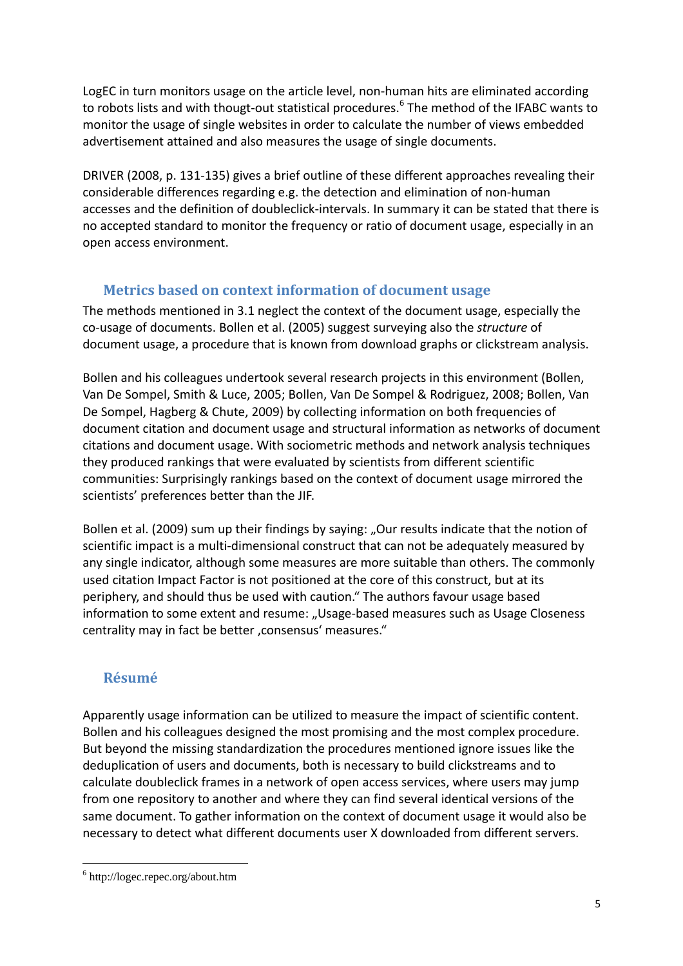LogEC in turn monitors usage on the article level, non-human hits are eliminated according to robots lists and with thougt-out statistical procedures.<sup>6</sup> The method of the IFABC wants to monitor the usage of single websites in order to calculate the number of views embedded advertisement attained and also measures the usage of single documents.

DRIVER (2008, p. 131-135) gives a brief outline of these different approaches revealing their considerable differences regarding e.g. the detection and elimination of non-human accesses and the definition of doubleclick-intervals. In summary it can be stated that there is no accepted standard to monitor the frequency or ratio of document usage, especially in an open access environment.

## **Metrics based on context information of document usage**

The methods mentioned in 3.1 neglect the context of the document usage, especially the co-usage of documents. Bollen et al. (2005) suggest surveying also the *structure* of document usage, a procedure that is known from download graphs or clickstream analysis.

Bollen and his colleagues undertook several research projects in this environment (Bollen, Van De Sompel, Smith & Luce, 2005; Bollen, Van De Sompel & Rodriguez, 2008; Bollen, Van De Sompel, Hagberg & Chute, 2009) by collecting information on both frequencies of document citation and document usage and structural information as networks of document citations and document usage. With sociometric methods and network analysis techniques they produced rankings that were evaluated by scientists from different scientific communities: Surprisingly rankings based on the context of document usage mirrored the scientists' preferences better than the JIF.

Bollen et al. (2009) sum up their findings by saying: "Our results indicate that the notion of scientific impact is a multi-dimensional construct that can not be adequately measured by any single indicator, although some measures are more suitable than others. The commonly used citation Impact Factor is not positioned at the core of this construct, but at its periphery, and should thus be used with caution." The authors favour usage based information to some extent and resume: "Usage-based measures such as Usage Closeness centrality may in fact be better , consensus' measures."

# **Résumé**

Apparently usage information can be utilized to measure the impact of scientific content. Bollen and his colleagues designed the most promising and the most complex procedure. But beyond the missing standardization the procedures mentioned ignore issues like the deduplication of users and documents, both is necessary to build clickstreams and to calculate doubleclick frames in a network of open access services, where users may jump from one repository to another and where they can find several identical versions of the same document. To gather information on the context of document usage it would also be necessary to detect what different documents user X downloaded from different servers.

 $\overline{a}$ 6 http://logec.repec.org/about.htm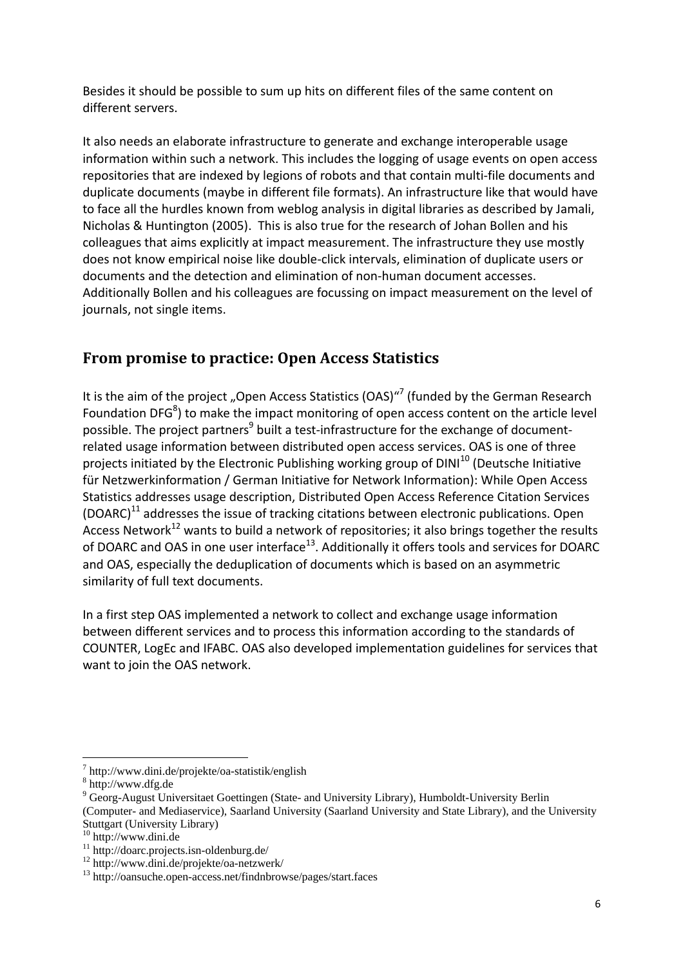Besides it should be possible to sum up hits on different files of the same content on different servers.

It also needs an elaborate infrastructure to generate and exchange interoperable usage information within such a network. This includes the logging of usage events on open access repositories that are indexed by legions of robots and that contain multi-file documents and duplicate documents (maybe in different file formats). An infrastructure like that would have to face all the hurdles known from weblog analysis in digital libraries as described by Jamali, Nicholas & Huntington (2005). This is also true for the research of Johan Bollen and his colleagues that aims explicitly at impact measurement. The infrastructure they use mostly does not know empirical noise like double-click intervals, elimination of duplicate users or documents and the detection and elimination of non-human document accesses. Additionally Bollen and his colleagues are focussing on impact measurement on the level of journals, not single items.

# **From promise to practice: Open Access Statistics**

It is the aim of the project "Open Access Statistics (OAS)"<sup>7</sup> (funded by the German Research Foundation DFG<sup>8</sup>) to make the impact monitoring of open access content on the article level possible. The project partners<sup>9</sup> built a test-infrastructure for the exchange of documentrelated usage information between distributed open access services. OAS is one of three projects initiated by the Electronic Publishing working group of  $DINI^{10}$  (Deutsche Initiative für Netzwerkinformation / German Initiative for Network Information): While Open Access Statistics addresses usage description, Distributed Open Access Reference Citation Services  $(DOARC)<sup>11</sup>$  addresses the issue of tracking citations between electronic publications. Open Access Network<sup>12</sup> wants to build a network of repositories; it also brings together the results of DOARC and OAS in one user interface<sup>13</sup>. Additionally it offers tools and services for DOARC and OAS, especially the deduplication of documents which is based on an asymmetric similarity of full text documents.

In a first step OAS implemented a network to collect and exchange usage information between different services and to process this information according to the standards of COUNTER, LogEc and IFABC. OAS also developed implementation guidelines for services that want to join the OAS network.

j

<sup>7</sup> http://www.dini.de/projekte/oa-statistik/english

<sup>8</sup> http://www.dfg.de

<sup>&</sup>lt;sup>9</sup> Georg-August Universitaet Goettingen (State- and University Library), Humboldt-University Berlin (Computer- and Mediaservice), Saarland University (Saarland University and State Library), and the University Stuttgart (University Library)

<sup>10</sup> http://www.dini.de

<sup>11</sup> http://doarc.projects.isn-oldenburg.de/

<sup>12</sup> http://www.dini.de/projekte/oa-netzwerk/

<sup>13</sup> http://oansuche.open-access.net/findnbrowse/pages/start.faces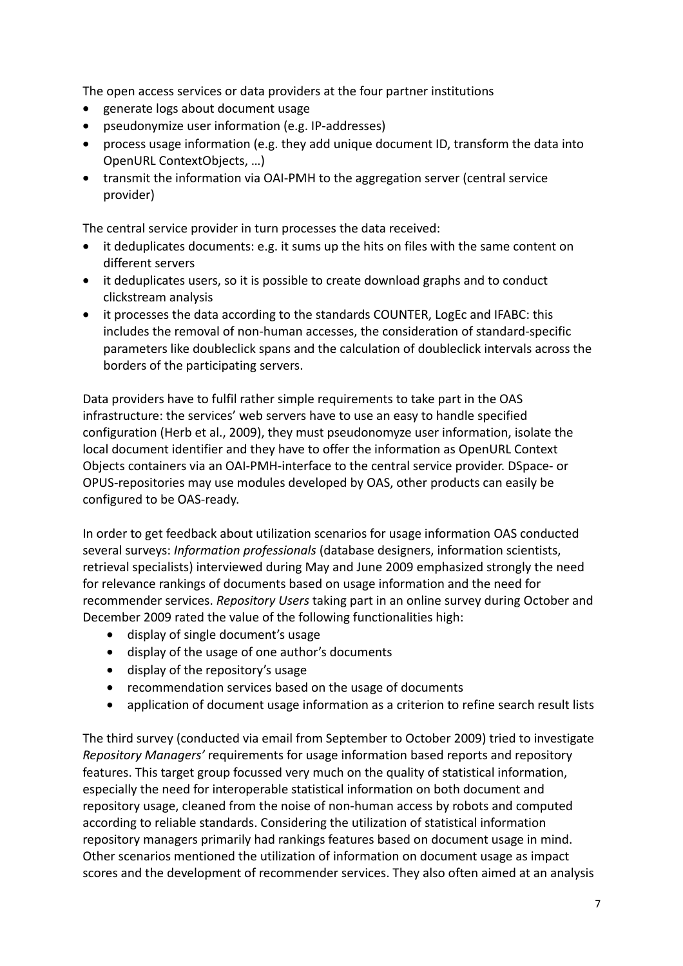The open access services or data providers at the four partner institutions

- generate logs about document usage
- pseudonymize user information (e.g. IP-addresses)
- process usage information (e.g. they add unique document ID, transform the data into OpenURL ContextObjects, …)
- transmit the information via OAI-PMH to the aggregation server (central service provider)

The central service provider in turn processes the data received:

- it deduplicates documents: e.g. it sums up the hits on files with the same content on different servers
- it deduplicates users, so it is possible to create download graphs and to conduct clickstream analysis
- it processes the data according to the standards COUNTER, LogEc and IFABC: this includes the removal of non-human accesses, the consideration of standard-specific parameters like doubleclick spans and the calculation of doubleclick intervals across the borders of the participating servers.

Data providers have to fulfil rather simple requirements to take part in the OAS infrastructure: the services' web servers have to use an easy to handle specified configuration (Herb et al., 2009), they must pseudonomyze user information, isolate the local document identifier and they have to offer the information as OpenURL Context Objects containers via an OAI-PMH-interface to the central service provider. DSpace- or OPUS-repositories may use modules developed by OAS, other products can easily be configured to be OAS-ready.

In order to get feedback about utilization scenarios for usage information OAS conducted several surveys: *Information professionals* (database designers, information scientists, retrieval specialists) interviewed during May and June 2009 emphasized strongly the need for relevance rankings of documents based on usage information and the need for recommender services. *Repository Users* taking part in an online survey during October and December 2009 rated the value of the following functionalities high:

- display of single document's usage
- display of the usage of one author's documents
- display of the repository's usage
- recommendation services based on the usage of documents
- application of document usage information as a criterion to refine search result lists

The third survey (conducted via email from September to October 2009) tried to investigate *Repository Managers'* requirements for usage information based reports and repository features. This target group focussed very much on the quality of statistical information, especially the need for interoperable statistical information on both document and repository usage, cleaned from the noise of non-human access by robots and computed according to reliable standards. Considering the utilization of statistical information repository managers primarily had rankings features based on document usage in mind. Other scenarios mentioned the utilization of information on document usage as impact scores and the development of recommender services. They also often aimed at an analysis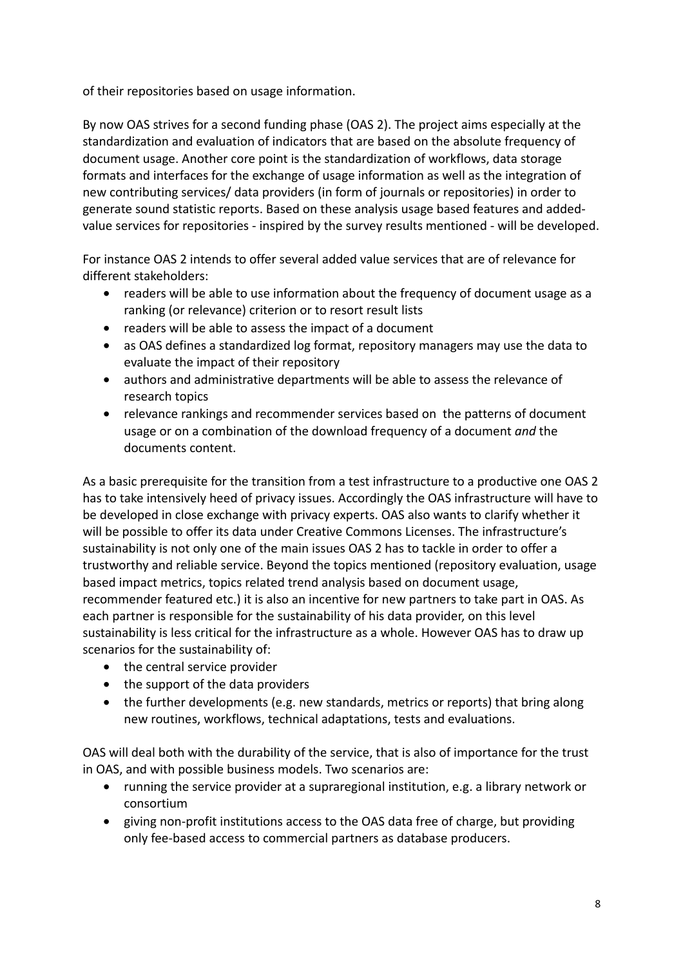of their repositories based on usage information.

By now OAS strives for a second funding phase (OAS 2). The project aims especially at the standardization and evaluation of indicators that are based on the absolute frequency of document usage. Another core point is the standardization of workflows, data storage formats and interfaces for the exchange of usage information as well as the integration of new contributing services/ data providers (in form of journals or repositories) in order to generate sound statistic reports. Based on these analysis usage based features and addedvalue services for repositories - inspired by the survey results mentioned - will be developed.

For instance OAS 2 intends to offer several added value services that are of relevance for different stakeholders:

- readers will be able to use information about the frequency of document usage as a ranking (or relevance) criterion or to resort result lists
- readers will be able to assess the impact of a document
- as OAS defines a standardized log format, repository managers may use the data to evaluate the impact of their repository
- authors and administrative departments will be able to assess the relevance of research topics
- relevance rankings and recommender services based on the patterns of document usage or on a combination of the download frequency of a document *and* the documents content.

As a basic prerequisite for the transition from a test infrastructure to a productive one OAS 2 has to take intensively heed of privacy issues. Accordingly the OAS infrastructure will have to be developed in close exchange with privacy experts. OAS also wants to clarify whether it will be possible to offer its data under Creative Commons Licenses. The infrastructure's sustainability is not only one of the main issues OAS 2 has to tackle in order to offer a trustworthy and reliable service. Beyond the topics mentioned (repository evaluation, usage based impact metrics, topics related trend analysis based on document usage, recommender featured etc.) it is also an incentive for new partners to take part in OAS. As each partner is responsible for the sustainability of his data provider, on this level sustainability is less critical for the infrastructure as a whole. However OAS has to draw up scenarios for the sustainability of:

- the central service provider
- the support of the data providers
- the further developments (e.g. new standards, metrics or reports) that bring along new routines, workflows, technical adaptations, tests and evaluations.

OAS will deal both with the durability of the service, that is also of importance for the trust in OAS, and with possible business models. Two scenarios are:

- running the service provider at a supraregional institution, e.g. a library network or consortium
- giving non-profit institutions access to the OAS data free of charge, but providing only fee-based access to commercial partners as database producers.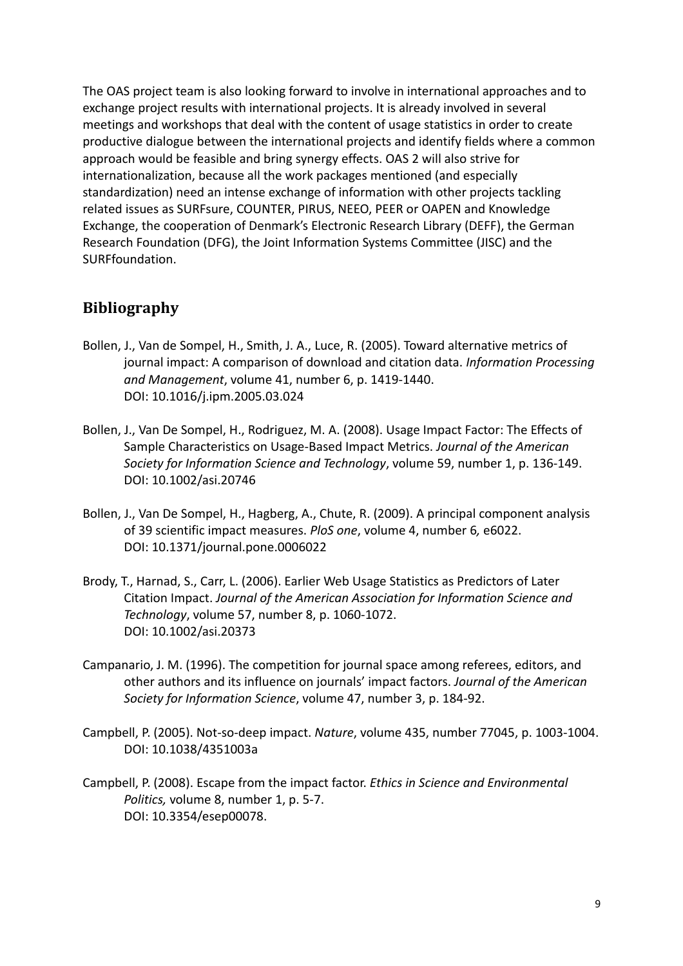The OAS project team is also looking forward to involve in international approaches and to exchange project results with international projects. It is already involved in several meetings and workshops that deal with the content of usage statistics in order to create productive dialogue between the international projects and identify fields where a common approach would be feasible and bring synergy effects. OAS 2 will also strive for internationalization, because all the work packages mentioned (and especially standardization) need an intense exchange of information with other projects tackling related issues as SURFsure, COUNTER, PIRUS, NEEO, PEER or OAPEN and Knowledge Exchange, the cooperation of Denmark's Electronic Research Library (DEFF), the German Research Foundation (DFG), the Joint Information Systems Committee (JISC) and the SURFfoundation.

## **Bibliography**

- Bollen, J., Van de Sompel, H., Smith, J. A., Luce, R. (2005). Toward alternative metrics of journal impact: A comparison of download and citation data. *Information Processing and Management*, volume 41, number 6, p. 1419-1440. DOI: 10.1016/j.ipm.2005.03.024
- Bollen, J., Van De Sompel, H., Rodriguez, M. A. (2008). Usage Impact Factor: The Effects of Sample Characteristics on Usage-Based Impact Metrics. *Journal of the American Society for Information Science and Technology*, volume 59, number 1, p. 136-149. DOI: 10.1002/asi.20746
- Bollen, J., Van De Sompel, H., Hagberg, A., Chute, R. (2009). A principal component analysis of 39 scientific impact measures. *PloS one*, volume 4, number 6*,* e6022. DOI: 10.1371/journal.pone.0006022
- Brody, T., Harnad, S., Carr, L. (2006). Earlier Web Usage Statistics as Predictors of Later Citation Impact. *Journal of the American Association for Information Science and Technology*, volume 57, number 8, p. 1060-1072. DOI: 10.1002/asi.20373
- Campanario, J. M. (1996). The competition for journal space among referees, editors, and other authors and its influence on journals' impact factors. *Journal of the American Society for Information Science*, volume 47, number 3, p. 184-92.
- Campbell, P. (2005). Not-so-deep impact. *Nature*, volume 435, number 77045, p. 1003-1004. DOI: 10.1038/4351003a
- Campbell, P. (2008). Escape from the impact factor. *Ethics in Science and Environmental Politics,* volume 8, number 1, p. 5-7. DOI: 10.3354/esep00078.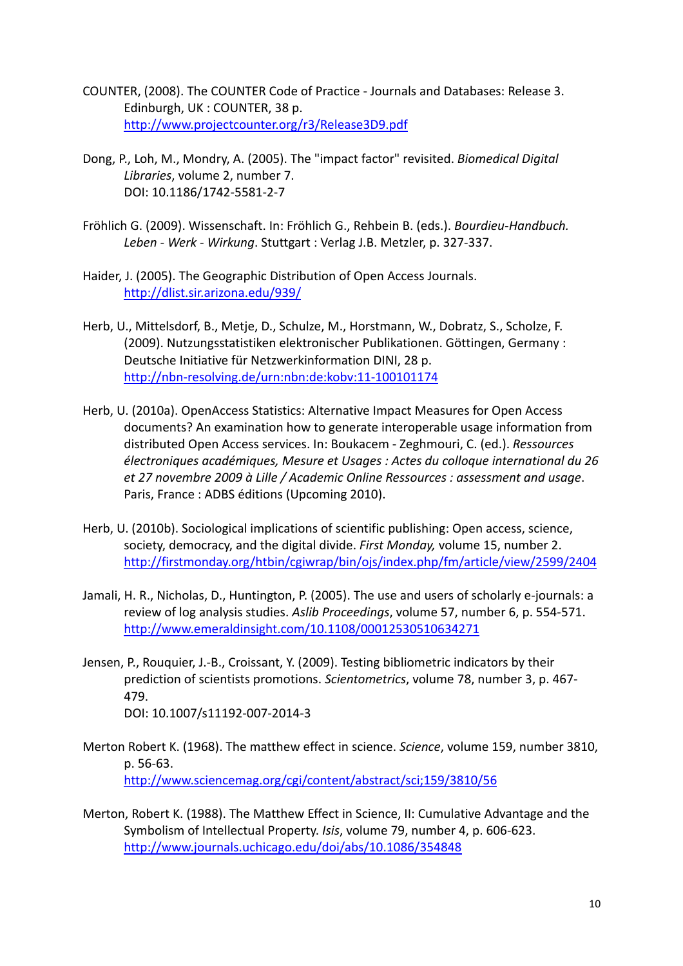- COUNTER, (2008). The COUNTER Code of Practice Journals and Databases: Release 3. Edinburgh, UK : COUNTER, 38 p. http://www.projectcounter.org/r3/Release3D9.pdf
- Dong, P., Loh, M., Mondry, A. (2005). The "impact factor" revisited. *Biomedical Digital Libraries*, volume 2, number 7. DOI: 10.1186/1742-5581-2-7
- Fröhlich G. (2009). Wissenschaft. In: Fröhlich G., Rehbein B. (eds.). *Bourdieu-Handbuch. Leben - Werk - Wirkung*. Stuttgart : Verlag J.B. Metzler, p. 327-337.
- Haider, J. (2005). The Geographic Distribution of Open Access Journals. http://dlist.sir.arizona.edu/939/
- Herb, U., Mittelsdorf, B., Metje, D., Schulze, M., Horstmann, W., Dobratz, S., Scholze, F. (2009). Nutzungsstatistiken elektronischer Publikationen. Göttingen, Germany : Deutsche Initiative für Netzwerkinformation DINI, 28 p. http://nbn-resolving.de/urn:nbn:de:kobv:11-100101174
- Herb, U. (2010a). OpenAccess Statistics: Alternative Impact Measures for Open Access documents? An examination how to generate interoperable usage information from distributed Open Access services. In: Boukacem - Zeghmouri, C. (ed.). *Ressources électroniques académiques, Mesure et Usages : Actes du colloque international du 26 et 27 novembre 2009 à Lille / Academic Online Ressources : assessment and usage*. Paris, France : ADBS éditions (Upcoming 2010).
- Herb, U. (2010b). Sociological implications of scientific publishing: Open access, science, society, democracy, and the digital divide. *First Monday,* volume 15, number 2. http://firstmonday.org/htbin/cgiwrap/bin/ojs/index.php/fm/article/view/2599/2404
- Jamali, H. R., Nicholas, D., Huntington, P. (2005). The use and users of scholarly e-journals: a review of log analysis studies. *Aslib Proceedings*, volume 57, number 6, p. 554-571. http://www.emeraldinsight.com/10.1108/00012530510634271
- Jensen, P., Rouquier, J.-B., Croissant, Y. (2009). Testing bibliometric indicators by their prediction of scientists promotions. *Scientometrics*, volume 78, number 3, p. 467- 479. DOI: 10.1007/s11192-007-2014-3
- Merton Robert K. (1968). The matthew effect in science. *Science*, volume 159, number 3810, p. 56-63. http://www.sciencemag.org/cgi/content/abstract/sci;159/3810/56
- Merton, Robert K. (1988). The Matthew Effect in Science, II: Cumulative Advantage and the Symbolism of Intellectual Property. *Isis*, volume 79, number 4, p. 606-623. http://www.journals.uchicago.edu/doi/abs/10.1086/354848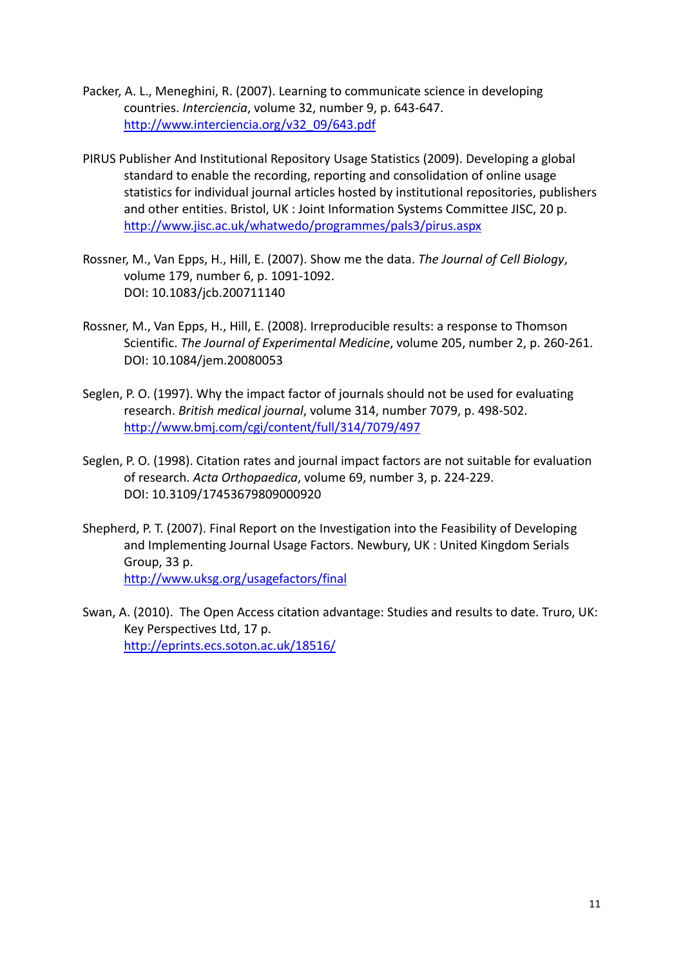- Packer, A. L., Meneghini, R. (2007). Learning to communicate science in developing countries. *Interciencia*, volume 32, number 9, p. 643-647. http://www.interciencia.org/v32\_09/643.pdf
- PIRUS Publisher And Institutional Repository Usage Statistics (2009). Developing a global standard to enable the recording, reporting and consolidation of online usage statistics for individual journal articles hosted by institutional repositories, publishers and other entities. Bristol, UK : Joint Information Systems Committee JISC, 20 p. http://www.jisc.ac.uk/whatwedo/programmes/pals3/pirus.aspx
- Rossner, M., Van Epps, H., Hill, E. (2007). Show me the data. *The Journal of Cell Biology*, volume 179, number 6, p. 1091-1092. DOI: 10.1083/jcb.200711140
- Rossner, M., Van Epps, H., Hill, E. (2008). Irreproducible results: a response to Thomson Scientific. *The Journal of Experimental Medicine*, volume 205, number 2, p. 260-261. DOI: 10.1084/jem.20080053
- Seglen, P. O. (1997). Why the impact factor of journals should not be used for evaluating research. *British medical journal*, volume 314, number 7079, p. 498-502. http://www.bmj.com/cgi/content/full/314/7079/497
- Seglen, P. O. (1998). Citation rates and journal impact factors are not suitable for evaluation of research. *Acta Orthopaedica*, volume 69, number 3, p. 224-229. DOI: 10.3109/17453679809000920
- Shepherd, P. T. (2007). Final Report on the Investigation into the Feasibility of Developing and Implementing Journal Usage Factors. Newbury, UK : United Kingdom Serials Group, 33 p. http://www.uksg.org/usagefactors/final
- Swan, A. (2010). The Open Access citation advantage: Studies and results to date. Truro, UK: Key Perspectives Ltd, 17 p. http://eprints.ecs.soton.ac.uk/18516/